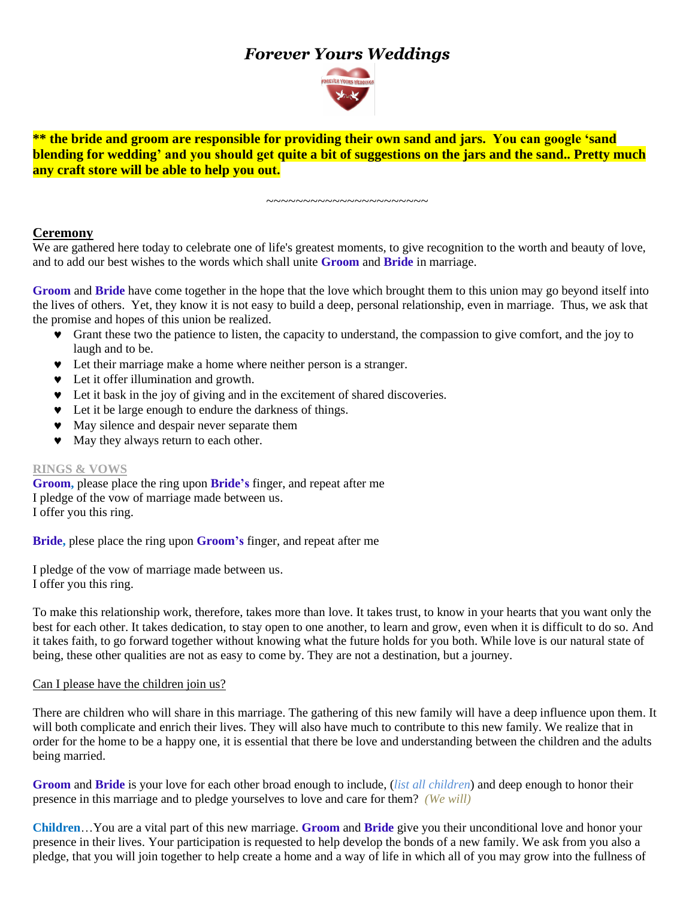# *Forever Yours Weddings*



**\*\* the bride and groom are responsible for providing their own sand and jars. You can google 'sand blending for wedding' and you should get quite a bit of suggestions on the jars and the sand.. Pretty much any craft store will be able to help you out.**

#### ~~~~~~~~~~~~~~~~~~~~~~

### **Ceremony**

We are gathered here today to celebrate one of life's greatest moments, to give recognition to the worth and beauty of love, and to add our best wishes to the words which shall unite **Groom** and **Bride** in marriage.

**Groom** and **Bride** have come together in the hope that the love which brought them to this union may go beyond itself into the lives of others. Yet, they know it is not easy to build a deep, personal relationship, even in marriage. Thus, we ask that the promise and hopes of this union be realized.

- Grant these two the patience to listen, the capacity to understand, the compassion to give comfort, and the joy to laugh and to be.
- Let their marriage make a home where neither person is a stranger.
- $\bullet$  Let it offer illumination and growth.
- Let it bask in the joy of giving and in the excitement of shared discoveries.
- Let it be large enough to endure the darkness of things.
- $\bullet$  May silence and despair never separate them
- $\bullet$  May they always return to each other.

#### **RINGS & VOWS**

**Groom,** please place the ring upon **Bride's** finger, and repeat after me I pledge of the vow of marriage made between us. I offer you this ring.

**Bride,** plese place the ring upon **Groom's** finger, and repeat after me

I pledge of the vow of marriage made between us. I offer you this ring.

To make this relationship work, therefore, takes more than love. It takes trust, to know in your hearts that you want only the best for each other. It takes dedication, to stay open to one another, to learn and grow, even when it is difficult to do so. And it takes faith, to go forward together without knowing what the future holds for you both. While love is our natural state of being, these other qualities are not as easy to come by. They are not a destination, but a journey.

#### Can I please have the children join us?

There are children who will share in this marriage. The gathering of this new family will have a deep influence upon them. It will both complicate and enrich their lives. They will also have much to contribute to this new family. We realize that in order for the home to be a happy one, it is essential that there be love and understanding between the children and the adults being married.

**Groom** and **Bride** is your love for each other broad enough to include, (*list all children*) and deep enough to honor their presence in this marriage and to pledge yourselves to love and care for them? *(We will)*

**Children**…You are a vital part of this new marriage. **Groom** and **Bride** give you their unconditional love and honor your presence in their lives. Your participation is requested to help develop the bonds of a new family. We ask from you also a pledge, that you will join together to help create a home and a way of life in which all of you may grow into the fullness of